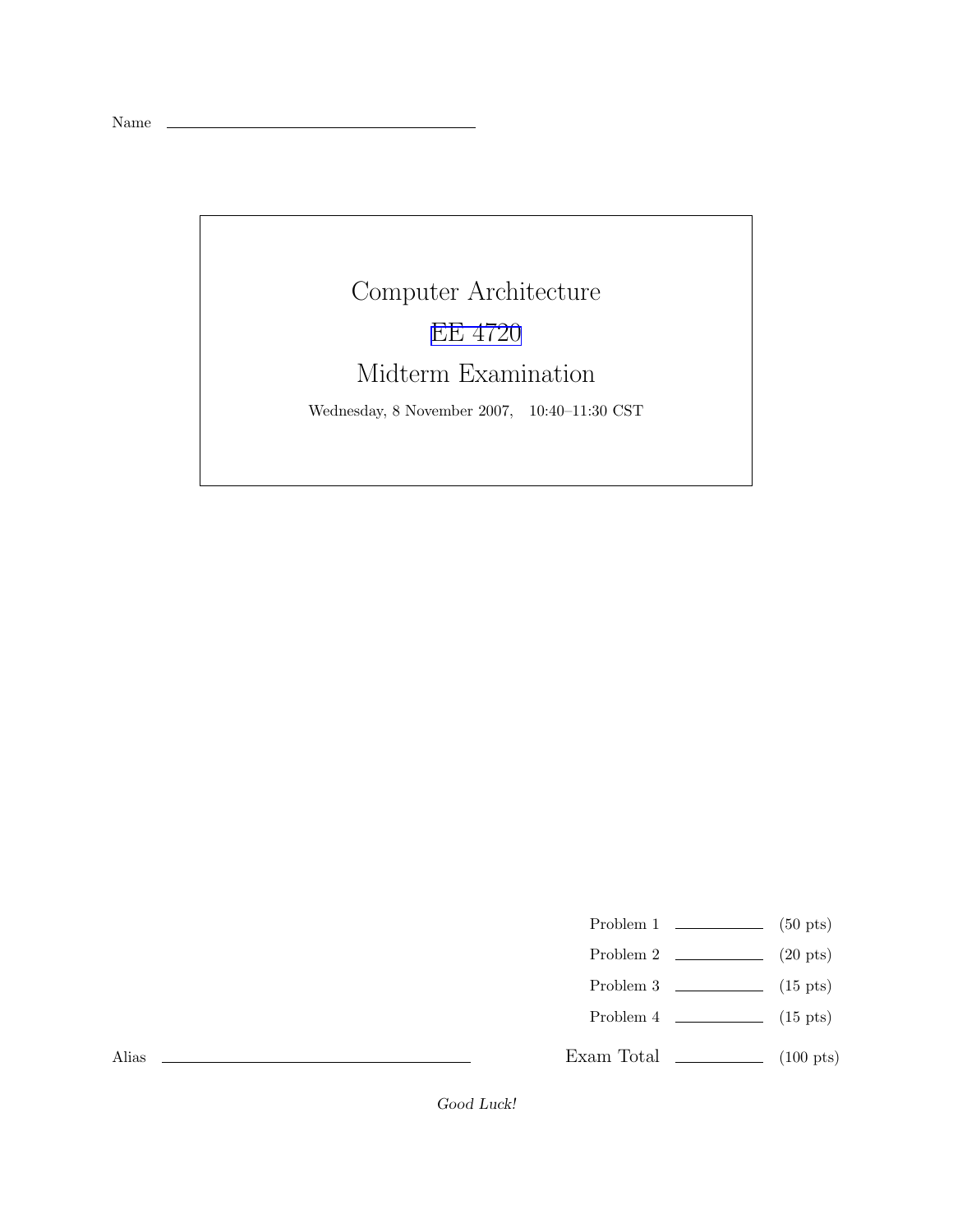Name

## Computer Architecture EE [4720](http://www.ece.lsu.edu/ee4720/) Midterm Examination Wednesday, 8 November 2007, 10:40–11:30 CST

- Problem 1  $\qquad \qquad$  (50 pts)
- Problem 2  $\qquad \qquad (20 \text{ pts})$
- Problem 3  $\qquad \qquad$  (15 pts)
- Problem 4  $\qquad \qquad$  (15 pts)
- Exam Total  $\qquad \qquad$  (100 pts)

Alias

Good Luck!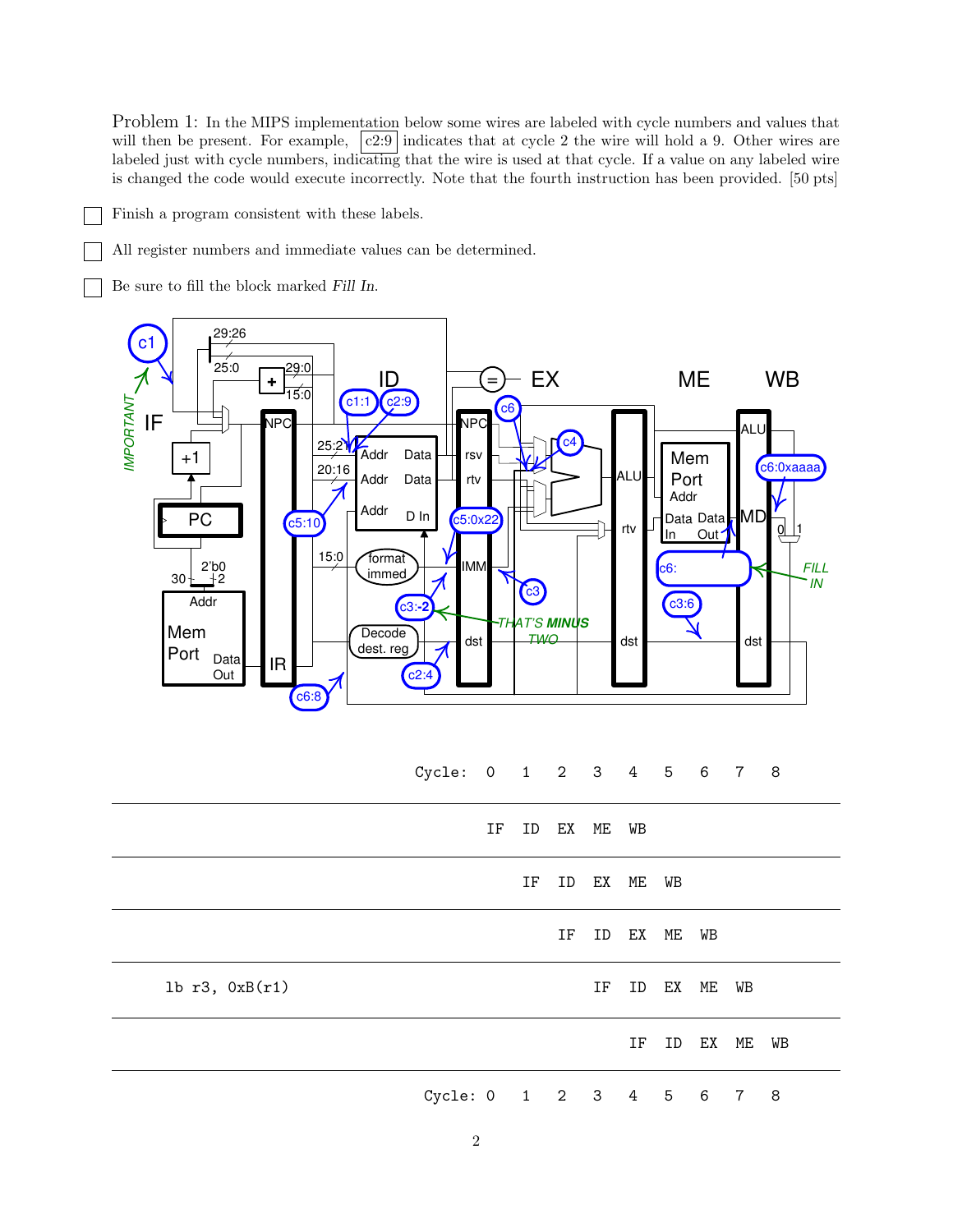Problem 1: In the MIPS implementation below some wires are labeled with cycle numbers and values that will then be present. For example,  $|c2:9|$  indicates that at cycle 2 the wire will hold a 9. Other wires are labeled just with cycle numbers, indicating that the wire is used at that cycle. If a value on any labeled wire is changed the code would execute incorrectly. Note that the fourth instruction has been provided. [50 pts]

Finish a program consistent with these labels.

All register numbers and immediate values can be determined.

Be sure to fill the block marked Fill In.



Cycle: 0 1 2 3 4 5 6 7 8

|                | IF                       | ID EX ME WB |    |          |          |    |             |    |
|----------------|--------------------------|-------------|----|----------|----------|----|-------------|----|
|                |                          | IF          |    | ID EX ME |          | WB |             |    |
|                |                          |             | IF |          | ID EX ME |    | WB          |    |
| lb r3, 0xB(r1) |                          |             |    | IF       |          |    | ID EX ME WB |    |
|                |                          |             |    |          | IF       |    | ID EX ME    | WB |
|                | Cycle: 0 1 2 3 4 5 6 7 8 |             |    |          |          |    |             |    |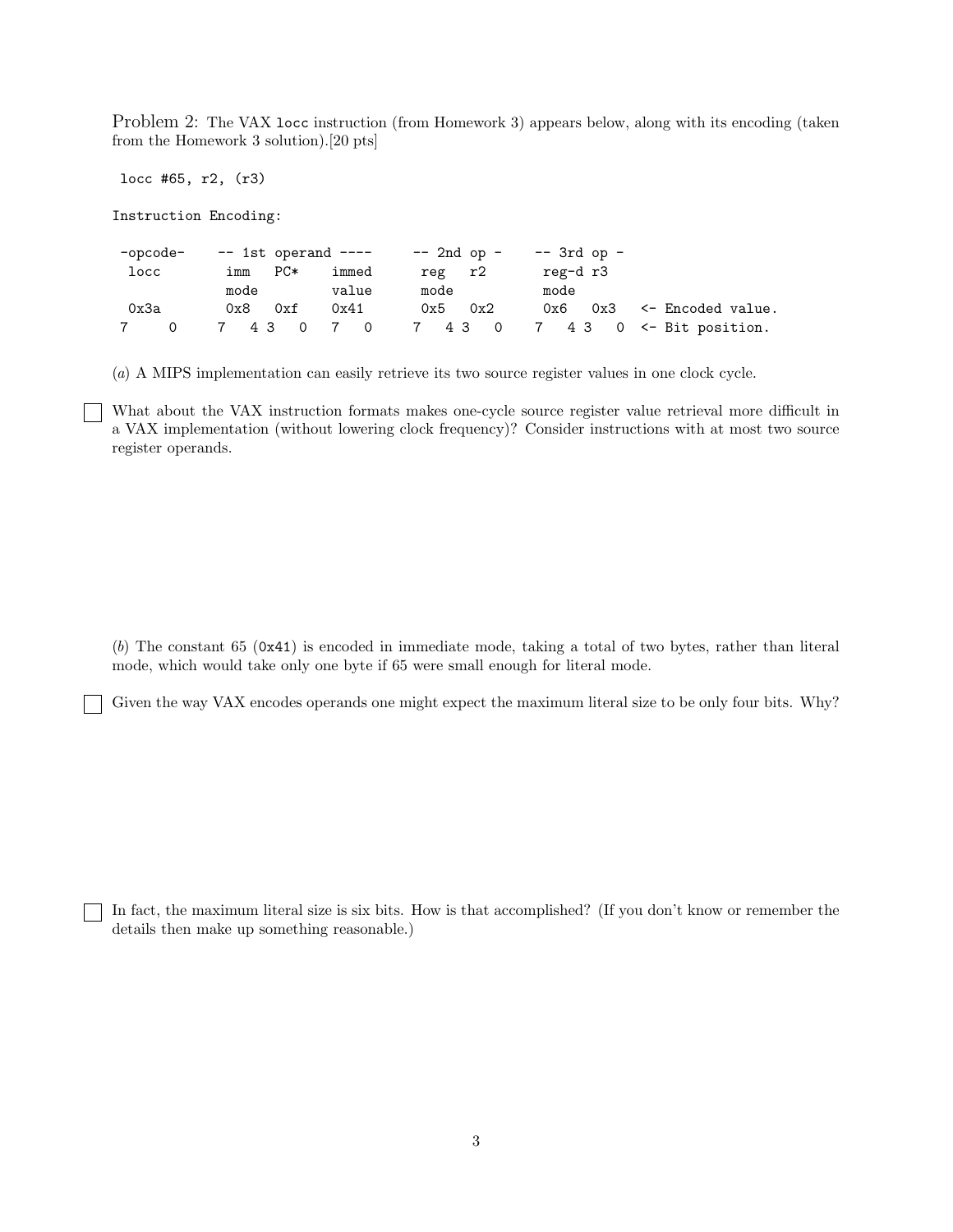Problem 2: The VAX locc instruction (from Homework 3) appears below, along with its encoding (taken from the Homework 3 solution).[20 pts]

locc #65, r2, (r3)

Instruction Encoding:

| -opcode- |                      |                | $--$ 1st operand $-- --$ 2nd op $--$ 3rd op $--$ |                  |                                                |
|----------|----------------------|----------------|--------------------------------------------------|------------------|------------------------------------------------|
| locc     | $PC*$<br>imm<br>mode | immed<br>value | reg r2<br>mode                                   | reg-d r3<br>mode |                                                |
| 0x3a     | $0x8$ $0xf$          | 0x41           | $0x5$ $0x2$                                      |                  | $0x6$ $0x3$ $\leq$ Encoded value.              |
|          |                      |                |                                                  |                  | 0 7 4 3 0 7 0 7 4 3 0 7 4 3 0 <- Bit position. |

(a) A MIPS implementation can easily retrieve its two source register values in one clock cycle.

What about the VAX instruction formats makes one-cycle source register value retrieval more difficult in a VAX implementation (without lowering clock frequency)? Consider instructions with at most two source register operands.

(b) The constant 65 (0x41) is encoded in immediate mode, taking a total of two bytes, rather than literal mode, which would take only one byte if 65 were small enough for literal mode.

Given the way VAX encodes operands one might expect the maximum literal size to be only four bits. Why?

In fact, the maximum literal size is six bits. How is that accomplished? (If you don't know or remember the details then make up something reasonable.)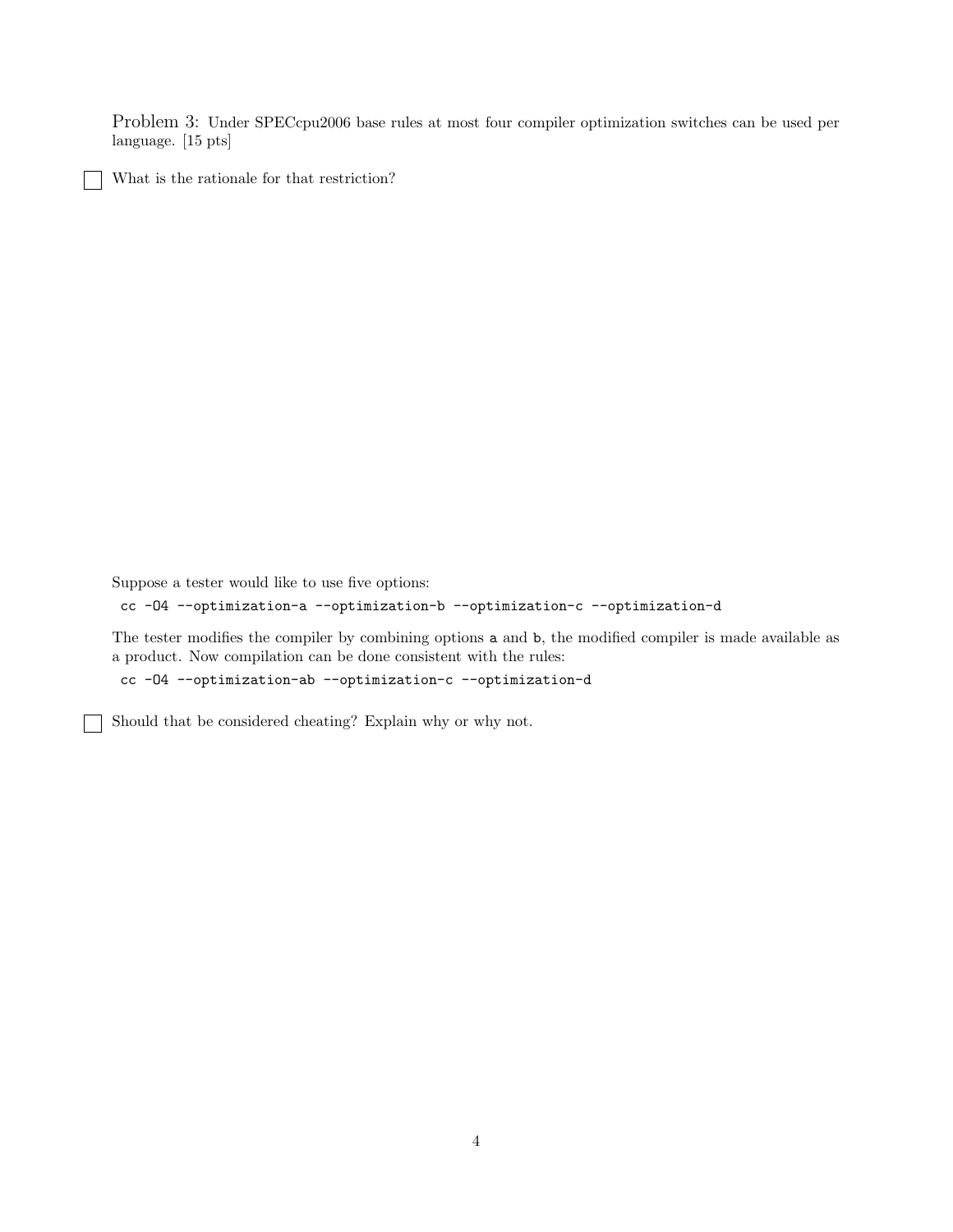Problem 3: Under SPECcpu2006 base rules at most four compiler optimization switches can be used per language. [15 pts]

What is the rationale for that restriction?

Suppose a tester would like to use five options:

cc -O4 --optimization-a --optimization-b --optimization-c --optimization-d

The tester modifies the compiler by combining options a and b, the modified compiler is made available as a product. Now compilation can be done consistent with the rules:

cc -O4 --optimization-ab --optimization-c --optimization-d

Should that be considered cheating? Explain why or why not.